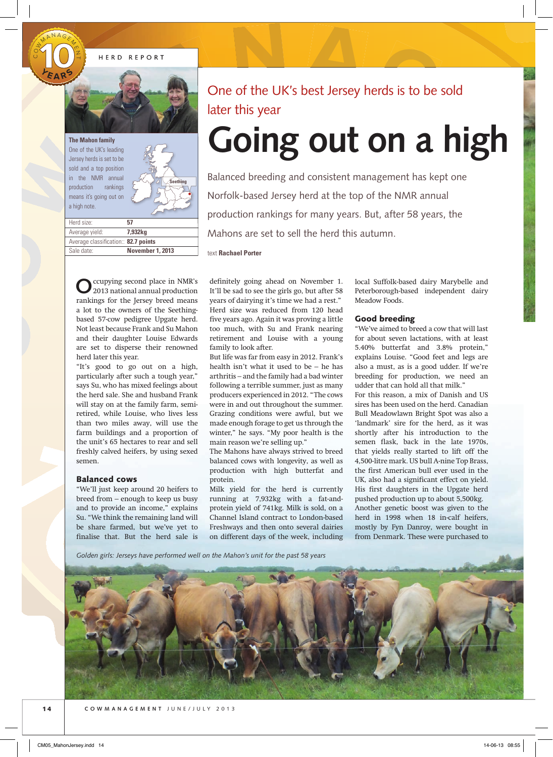HERD REPORT



One of the UK's leading Jersey herds is set to be sold and a top position in the NMR annual production rankings means it's going out on a high note. The Mah<br>
One of the Mah<br>
One of the School and<br>
sold and<br>
in the production<br>
means it<br>
a high not<br>
Herd size

 $\cup$ O<br>U W

MANAGE4

 $\gamma$ N  $\rightarrow$ 



| Herd size:                           | 57                      |
|--------------------------------------|-------------------------|
| Average yield:                       | 7.932ka                 |
| Average classification:: 82.7 points |                         |
| Sale date:                           | <b>November 1, 2013</b> |

## One of the UK's best Jersey herds is to be sold later this year

# **Going out on a high**

Balanced breeding and consistent management has kept one Norfolk-based Jersey herd at the top of the NMR annual production rankings for many years. But, after 58 years, the Mahons are set to sell the herd this autumn. **AR ADAD ART DEPARTMENT ON A PROPER DEPARTMENT ON A PROPER DEPARTMENT ON A PROPER DEPARTMENT OF A PROPER DEPARTMENT ON A PROPER DEPARTMENT OF A PROPER DEPARTMENT OF A PROPER DEPARTMENT OF A PROPER DEPARTMENT OF A PROPER DE** 

text **Rachael Porter**

**O**ccupying second place in NMR's 2013 national annual production rankings for the Jersey breed means a lot to the owners of the Seethingbased 57-cow pedigree Upgate herd. Not least because Frank and Su Mahon and their daughter Louise Edwards are set to disperse their renowned herd later this year.

"It's good to go out on a high, particularly after such a tough year," says Su, who has mixed feelings about the herd sale. She and husband Frank will stay on at the family farm, semiretired, while Louise, who lives less than two miles away, will use the farm buildings and a proportion of the unit's 65 hectares to rear and sell freshly calved heifers, by using sexed semen.

### Balanced cows

"We'll just keep around 20 heifers to breed from – enough to keep us busy and to provide an income," explains Su. "We think the remaining land will be share farmed, but we've yet to finalise that. But the herd sale is definitely going ahead on November 1. It'll be sad to see the girls go, but after 58 years of dairying it's time we had a rest." Herd size was reduced from 120 head five years ago. Again it was proving a little too much, with Su and Frank nearing retirement and Louise with a young family to look after.

But life was far from easy in 2012. Frank's health isn't what it used to be – he has arthritis – and the family had a bad winter following a terrible summer, just as many producers experienced in 2012. "The cows were in and out throughout the summer. Grazing conditions were awful, but we made enough forage to get us through the winter," he says. "My poor health is the main reason we're selling up."

The Mahons have always strived to breed balanced cows with longevity, as well as production with high butterfat and protein.

Milk yield for the herd is currently running at 7,932kg with a fat-andprotein yield of 741kg. Milk is sold, on a Channel Island contract to London-based Freshways and then onto several dairies on different days of the week, including local Suffolk-based dairy Marybelle and Peterborough-based independent dairy Meadow Foods.

#### Good breeding

"We've aimed to breed a cow that will last for about seven lactations, with at least 5.40% butterfat and 3.8% protein," explains Louise. "Good feet and legs are also a must, as is a good udder. If we're breeding for production, we need an udder that can hold all that milk."

For this reason, a mix of Danish and US sires has been used on the herd. Canadian Bull Meadowlawn Bright Spot was also a 'landmark' sire for the herd, as it was shortly after his introduction to the semen flask, back in the late 1970s, that yields really started to lift off the 4,500-litre mark. US bull A-nine Top Brass, the first American bull ever used in the UK, also had a significant effect on yield. His first daughters in the Upgate herd pushed production up to about 5,500kg. Another genetic boost was given to the herd in 1998 when 18 in-calf heifers, mostly by Fyn Danroy, were bought in from Denmark. These were purchased to

*Golden girls: Jerseys have performed well on the Mahon's unit for the past 58 years*